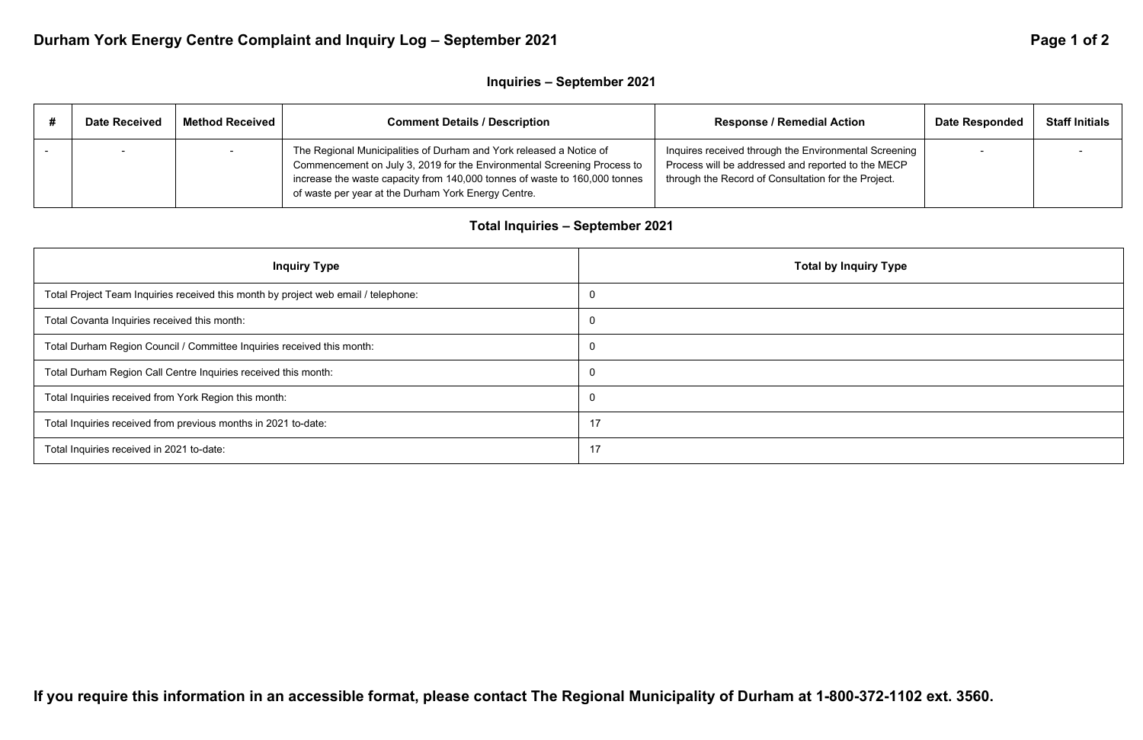# Durham York Energy Centre Complaint and Inquiry Log - September 2021 **Page 1 of 2 Page 1 of 2 Page 1 of 2**

## **Inquiries – September 2021**

| <b>Date Received</b> | Method Received | <b>Comment Details / Description</b>                                                                                                                                                                                                                                                | <b>Response / Remedial Action</b>                                                                                                                                  | <b>Date Responded</b> | <b>Staff Initials</b> |
|----------------------|-----------------|-------------------------------------------------------------------------------------------------------------------------------------------------------------------------------------------------------------------------------------------------------------------------------------|--------------------------------------------------------------------------------------------------------------------------------------------------------------------|-----------------------|-----------------------|
|                      |                 | The Regional Municipalities of Durham and York released a Notice of<br>Commencement on July 3, 2019 for the Environmental Screening Process to<br>increase the waste capacity from 140,000 tonnes of waste to 160,000 tonnes<br>of waste per year at the Durham York Energy Centre. | Inquires received through the Environmental Screening<br>Process will be addressed and reported to the MECP<br>through the Record of Consultation for the Project. |                       |                       |

## **Total Inquiries – September 2021**

| <b>Inquiry Type</b>                                                                | <b>Total by Inquiry Type</b> |
|------------------------------------------------------------------------------------|------------------------------|
| Total Project Team Inquiries received this month by project web email / telephone: |                              |
| Total Covanta Inquiries received this month:                                       |                              |
| Total Durham Region Council / Committee Inquiries received this month:             |                              |
| Total Durham Region Call Centre Inquiries received this month:                     |                              |
| Total Inquiries received from York Region this month:                              |                              |
| Total Inquiries received from previous months in 2021 to-date:                     | 17                           |
| Total Inquiries received in 2021 to-date:                                          | 17                           |